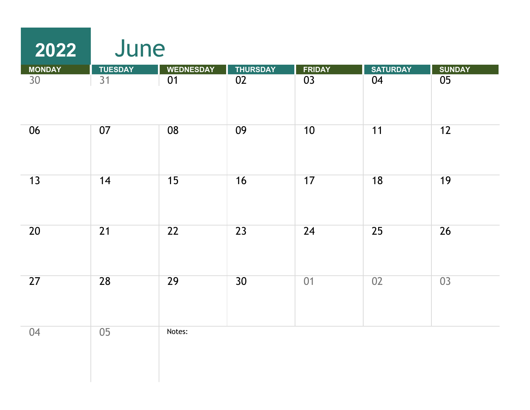| 2022            | June            |                  |                 |                 |                 |                 |
|-----------------|-----------------|------------------|-----------------|-----------------|-----------------|-----------------|
| <b>MONDAY</b>   | <b>TUESDAY</b>  | <b>WEDNESDAY</b> | <b>THURSDAY</b> | <b>FRIDAY</b>   | <b>SATURDAY</b> | <b>SUNDAY</b>   |
| $\overline{30}$ | $\overline{31}$ | $\overline{01}$  | $\overline{02}$ | $\overline{03}$ | 04              | $\overline{05}$ |
| 06              | 07              | 08               | 09              | 10              | 11              | 12              |
| 13              | 14              | 15               | 16              | 17              | 18              | 19              |
| 20              | $\overline{21}$ | $\overline{22}$  | $\overline{23}$ | 24              | $\overline{25}$ | 26              |
| 27              | 28              | 29               | 30 <sup>2</sup> | 01              | 02              | $\overline{03}$ |
| 04              | 05              | Notes:           |                 |                 |                 |                 |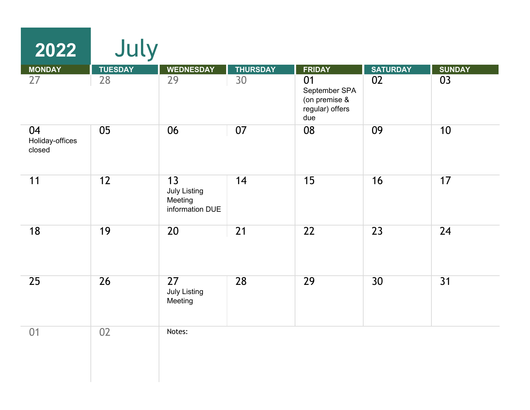| 2022                            | July           |                                                         |                 |                                                                |                 |                 |
|---------------------------------|----------------|---------------------------------------------------------|-----------------|----------------------------------------------------------------|-----------------|-----------------|
| <b>MONDAY</b>                   | <b>TUESDAY</b> | <b>WEDNESDAY</b>                                        | <b>THURSDAY</b> | <b>FRIDAY</b>                                                  | <b>SATURDAY</b> | <b>SUNDAY</b>   |
| 27                              | 28             | 29                                                      | 30              | 01<br>September SPA<br>(on premise &<br>regular) offers<br>due | 02              | 03              |
| 04<br>Holiday-offices<br>closed | 05             | 06                                                      | 07              | 08                                                             | 09              | 10              |
| 11                              | 12             | 13<br><b>July Listing</b><br>Meeting<br>information DUE | 14              | 15                                                             | 16              | 17              |
| 18                              | 19             | 20                                                      | 21              | $\overline{22}$                                                | $\overline{23}$ | $\overline{24}$ |
| 25                              | 26             | 27<br><b>July Listing</b><br>Meeting                    | 28              | 29                                                             | 30              | 31              |
| 01                              | 02             | Notes:                                                  |                 |                                                                |                 |                 |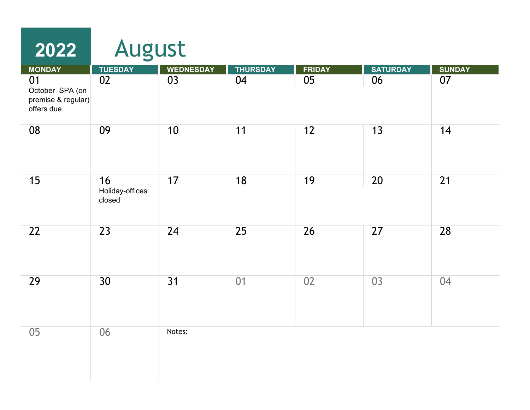| 2022                                                      | August                          |                  |                 |                 |                 |                 |
|-----------------------------------------------------------|---------------------------------|------------------|-----------------|-----------------|-----------------|-----------------|
| <b>MONDAY</b>                                             | <b>TUESDAY</b>                  | <b>WEDNESDAY</b> | <b>THURSDAY</b> | <b>FRIDAY</b>   | <b>SATURDAY</b> | <b>SUNDAY</b>   |
| 01<br>October SPA (on<br>premise & regular)<br>offers due | $\overline{02}$                 | 03               | 04              | $\overline{05}$ | 06              | 07              |
| 08                                                        | 09                              | 10               | 11              | 12              | 13              | 14              |
| 15                                                        | 16<br>Holiday-offices<br>closed | 17               | 18              | 19              | 20              | $\overline{21}$ |
| 22                                                        | 23                              | 24               | 25              | 26              | 27              | 28              |
| 29                                                        | 30 <sup>°</sup>                 | 31               | 01              | 02              | 03              | 04              |
| 05                                                        | 06                              | Notes:           |                 |                 |                 |                 |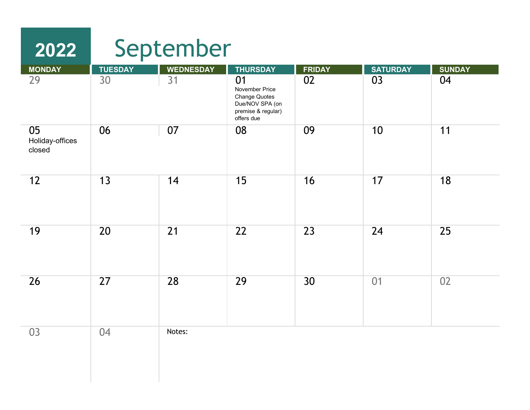## September

**2022**

| <b>MONDAY</b>                   | <b>TUESDAY</b>  | <b>WEDNESDAY</b> | <b>THURSDAY</b>                                                                                     | <b>FRIDAY</b> | <b>SATURDAY</b> | <b>SUNDAY</b> |
|---------------------------------|-----------------|------------------|-----------------------------------------------------------------------------------------------------|---------------|-----------------|---------------|
| 29                              | 30              | 31               | 01<br>November Price<br><b>Change Quotes</b><br>Due/NOV SPA (on<br>premise & regular)<br>offers due | 02            | 03              | 04            |
| 05<br>Holiday-offices<br>closed | 06              | 07               | 08                                                                                                  | 09            | 10              | 11            |
| 12                              | 13              | 14               | 15                                                                                                  | 16            | 17              | 18            |
| 19                              | 20              | 21               | 22                                                                                                  | 23            | 24              | 25            |
| 26                              | $\overline{27}$ | 28               | 29                                                                                                  | 30            | 01              | 02            |
| 03                              | 04              | Notes:           |                                                                                                     |               |                 |               |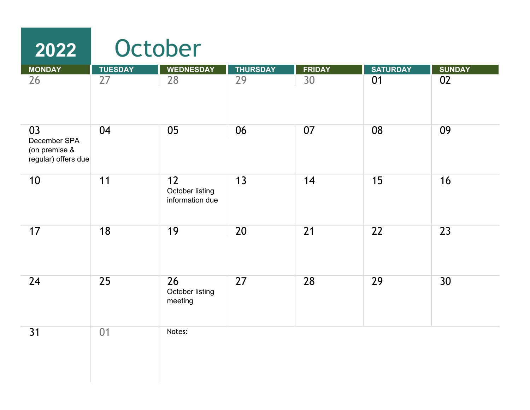| 2022                                                       |                 | October                                  |                 |                 |                 |                 |  |  |  |
|------------------------------------------------------------|-----------------|------------------------------------------|-----------------|-----------------|-----------------|-----------------|--|--|--|
| <b>MONDAY</b>                                              | <b>TUESDAY</b>  | <b>WEDNESDAY</b>                         | <b>THURSDAY</b> | <b>FRIDAY</b>   | <b>SATURDAY</b> | <b>SUNDAY</b>   |  |  |  |
| 26                                                         | 27              | 28                                       | 29              | 30              | 01              | 02              |  |  |  |
| 03<br>December SPA<br>(on premise &<br>regular) offers due | 04              | 05                                       | 06              | 07              | 08              | 09              |  |  |  |
| 10                                                         | 11              | 12<br>October listing<br>information due | 13              | 14              | 15              | 16              |  |  |  |
| 17                                                         | 18              | 19                                       | $\overline{20}$ | $\overline{21}$ | $\overline{22}$ | $\overline{23}$ |  |  |  |
| 24                                                         | $\overline{25}$ | 26<br>October listing<br>meeting         | 27              | 28              | 29              | 30              |  |  |  |
| 31                                                         | 01              | Notes:                                   |                 |                 |                 |                 |  |  |  |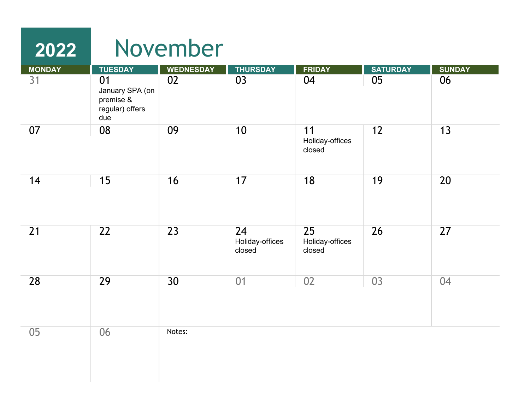| <b>MONDAY</b> | <b>TUESDAY</b>                                               | <b>WEDNESDAY</b> | <b>THURSDAY</b>       | <b>FRIDAY</b>                   | <b>SATURDAY</b> | <b>SUNDAY</b> |
|---------------|--------------------------------------------------------------|------------------|-----------------------|---------------------------------|-----------------|---------------|
| 31            | 01<br>January SPA (on<br>premise &<br>regular) offers<br>due | 02               | 03                    | 04                              | 05              | 06            |
| 07            | 08                                                           | 09               | 10                    | 11<br>Holiday-offices<br>closed | 12              | 13            |
| 14            | 15                                                           | 16               | 17                    | 18                              | 19              | 20            |
| 21            | 22                                                           | 23               | 24<br>Holiday-offices | 25<br>Holiday-offices           | 26              | 27            |
|               |                                                              |                  | closed                | closed                          |                 |               |
| 28            | 29                                                           | 30               | 01                    | 02                              | 03              | 04            |
| $05\,$        | 06                                                           | Notes:           |                       |                                 |                 |               |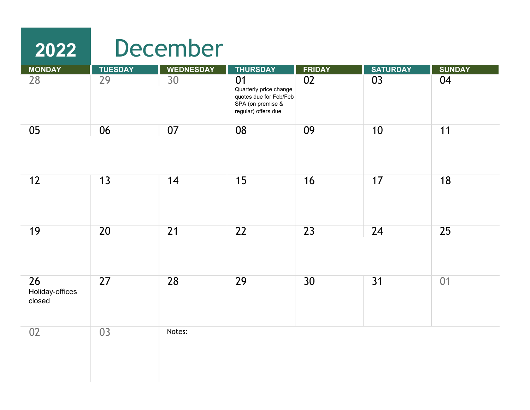## **2022 MONDAY TUESDAY WEDNESDAY THURSDAY FRIDAY SATURDAY SUNDAY** 28 29 30 01 02 03 04 Quarterly price change quotes due for Feb/Feb SPA (on premise & December

|                                 |                 |        | SPA (on premise &<br>regular) offers due |                 |    |    |
|---------------------------------|-----------------|--------|------------------------------------------|-----------------|----|----|
| 05                              | 06              | 07     | 08                                       | 09              | 10 | 11 |
| 12                              | 13              | 14     | 15                                       | 16              | 17 | 18 |
| 19                              | 20              | 21     | 22                                       | 23              | 24 | 25 |
| 26<br>Holiday-offices<br>closed | $\overline{27}$ | 28     | 29                                       | 30 <sup>°</sup> | 31 | 01 |
| 02                              | 03              | Notes: |                                          |                 |    |    |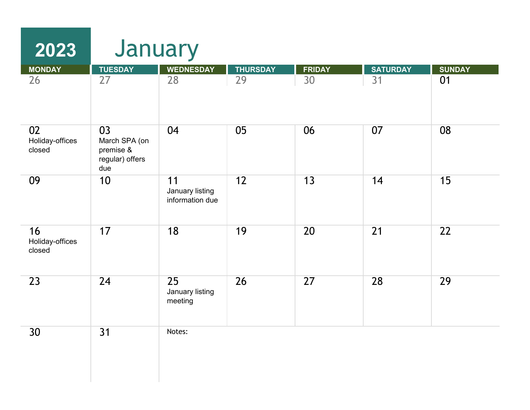| 2023                            | January                                                    |                                          |                 |               |                 |                 |  |  |
|---------------------------------|------------------------------------------------------------|------------------------------------------|-----------------|---------------|-----------------|-----------------|--|--|
| <b>MONDAY</b>                   | <b>TUESDAY</b>                                             | <b>WEDNESDAY</b>                         | <b>THURSDAY</b> | <b>FRIDAY</b> | <b>SATURDAY</b> | <b>SUNDAY</b>   |  |  |
| 26                              | 27                                                         | 28                                       | 29              | 30            | 31              | 01              |  |  |
| 02<br>Holiday-offices<br>closed | 03<br>March SPA (on<br>premise &<br>regular) offers<br>due | 04                                       | 05              | 06            | 07              | 08              |  |  |
| 09                              | 10                                                         | 11<br>January listing<br>information due | 12              | 13            | 14              | 15              |  |  |
| 16<br>Holiday-offices<br>closed | 17                                                         | 18                                       | 19              | 20            | 21              | $\overline{22}$ |  |  |
| 23                              | 24                                                         | 25<br>January listing<br>meeting         | 26              | 27            | 28              | 29              |  |  |
| 30                              | 31                                                         | Notes:                                   |                 |               |                 |                 |  |  |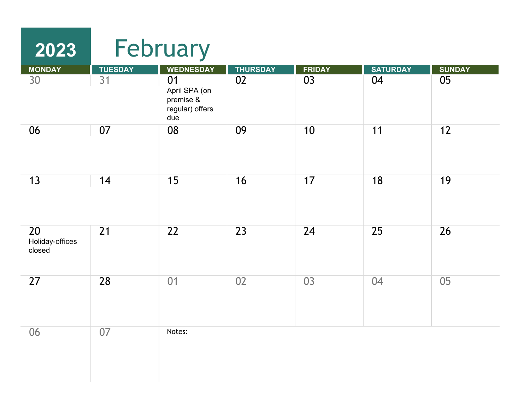| 2023                            |                      | February                                                                       |                       |                     |                       |                     |  |  |  |
|---------------------------------|----------------------|--------------------------------------------------------------------------------|-----------------------|---------------------|-----------------------|---------------------|--|--|--|
| <b>MONDAY</b><br>30             | <b>TUESDAY</b><br>31 | <b>WEDNESDAY</b><br>01<br>April SPA (on<br>premise &<br>regular) offers<br>due | <b>THURSDAY</b><br>02 | <b>FRIDAY</b><br>03 | <b>SATURDAY</b><br>04 | <b>SUNDAY</b><br>05 |  |  |  |
| 06                              | 07                   | 08                                                                             | 09                    | 10                  | 11                    | 12                  |  |  |  |
| 13                              | 14                   | 15                                                                             | 16                    | 17                  | 18                    | 19                  |  |  |  |
| 20<br>Holiday-offices<br>closed | 21                   | 22                                                                             | 23                    | 24                  | 25                    | 26                  |  |  |  |
| 27                              | 28                   | 01                                                                             | 02                    | 03                  | 04                    | 05                  |  |  |  |
| 06                              | 07                   | Notes:                                                                         |                       |                     |                       |                     |  |  |  |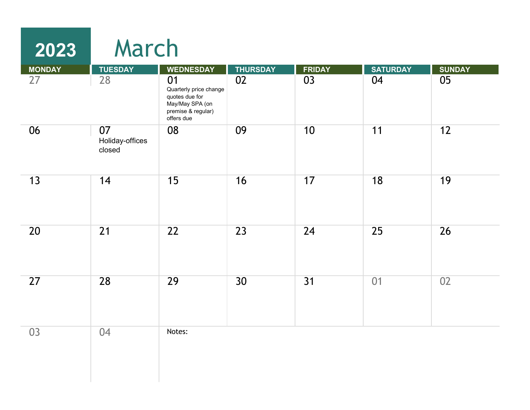## **2023** March

| <b>MONDAY</b> | <b>TUESDAY</b>                  | <b>WEDNESDAY</b>                                                                                      | <b>THURSDAY</b> | <b>FRIDAY</b> | <b>SATURDAY</b> | <b>SUNDAY</b> |
|---------------|---------------------------------|-------------------------------------------------------------------------------------------------------|-----------------|---------------|-----------------|---------------|
| 27            | 28                              | 01<br>Quarterly price change<br>quotes due for<br>May/May SPA (on<br>premise & regular)<br>offers due | 02              | 03            | 04              | 05            |
| 06            | 07<br>Holiday-offices<br>closed | 08                                                                                                    | 09              | 10            | 11              | 12            |
| 13            | 14                              | 15                                                                                                    | 16              | 17            | 18              | 19            |
| 20            | 21                              | $\overline{22}$                                                                                       | 23              | 24            | 25              | 26            |
| 27            | 28                              | 29                                                                                                    | 30              | 31            | 01              | 02            |
| 03            | 04                              | Notes:                                                                                                |                 |               |                 |               |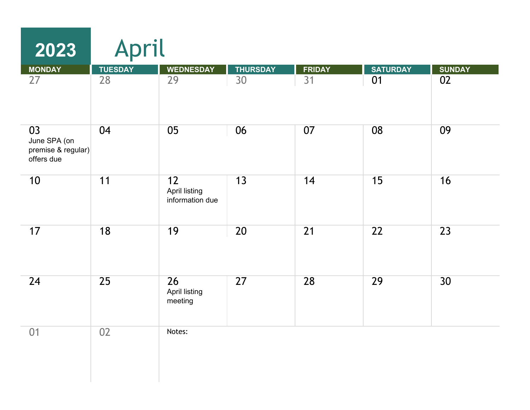| 2023                                                   | April          |                                        |                 |               |                 |               |  |  |
|--------------------------------------------------------|----------------|----------------------------------------|-----------------|---------------|-----------------|---------------|--|--|
| <b>MONDAY</b>                                          | <b>TUESDAY</b> | <b>WEDNESDAY</b>                       | <b>THURSDAY</b> | <b>FRIDAY</b> | <b>SATURDAY</b> | <b>SUNDAY</b> |  |  |
| 27                                                     | 28             | 29                                     | 30              | 31            | 01              | 02            |  |  |
| 03<br>June SPA (on<br>premise & regular)<br>offers due | 04             | 05                                     | 06              | 07            | 08              | 09            |  |  |
| 10                                                     | 11             | 12<br>April listing<br>information due | 13              | 14            | 15              | 16            |  |  |
| 17                                                     | 18             | 19                                     | 20              | 21            | 22              | 23            |  |  |
| 24                                                     | 25             | 26<br>April listing<br>meeting         | 27              | 28            | 29              | 30            |  |  |
| 01                                                     | 02             | Notes:                                 |                 |               |                 |               |  |  |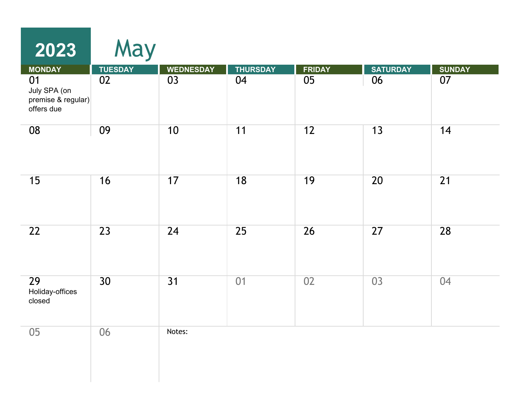| 2023                                                   | May             |                  |                 |               |                 |                 |
|--------------------------------------------------------|-----------------|------------------|-----------------|---------------|-----------------|-----------------|
| <b>MONDAY</b>                                          | <b>TUESDAY</b>  | <b>WEDNESDAY</b> | <b>THURSDAY</b> | <b>FRIDAY</b> | <b>SATURDAY</b> | <b>SUNDAY</b>   |
| 01<br>July SPA (on<br>premise & regular)<br>offers due | 02              | 03               | 04              | 05            | 06              | 07              |
| 08                                                     | 09              | 10               | 11              | 12            | 13              | 14              |
| 15                                                     | 16              | 17               | 18              | 19            | $\overline{20}$ | $\overline{21}$ |
| 22                                                     | $\overline{23}$ | 24               | $\overline{25}$ | 26            | $\overline{27}$ | 28              |
| 29<br>Holiday-offices<br>closed                        | 30              | $\overline{31}$  | 01              | 02            | 03              | 04              |
| 05                                                     | 06              | Notes:           |                 |               |                 |                 |